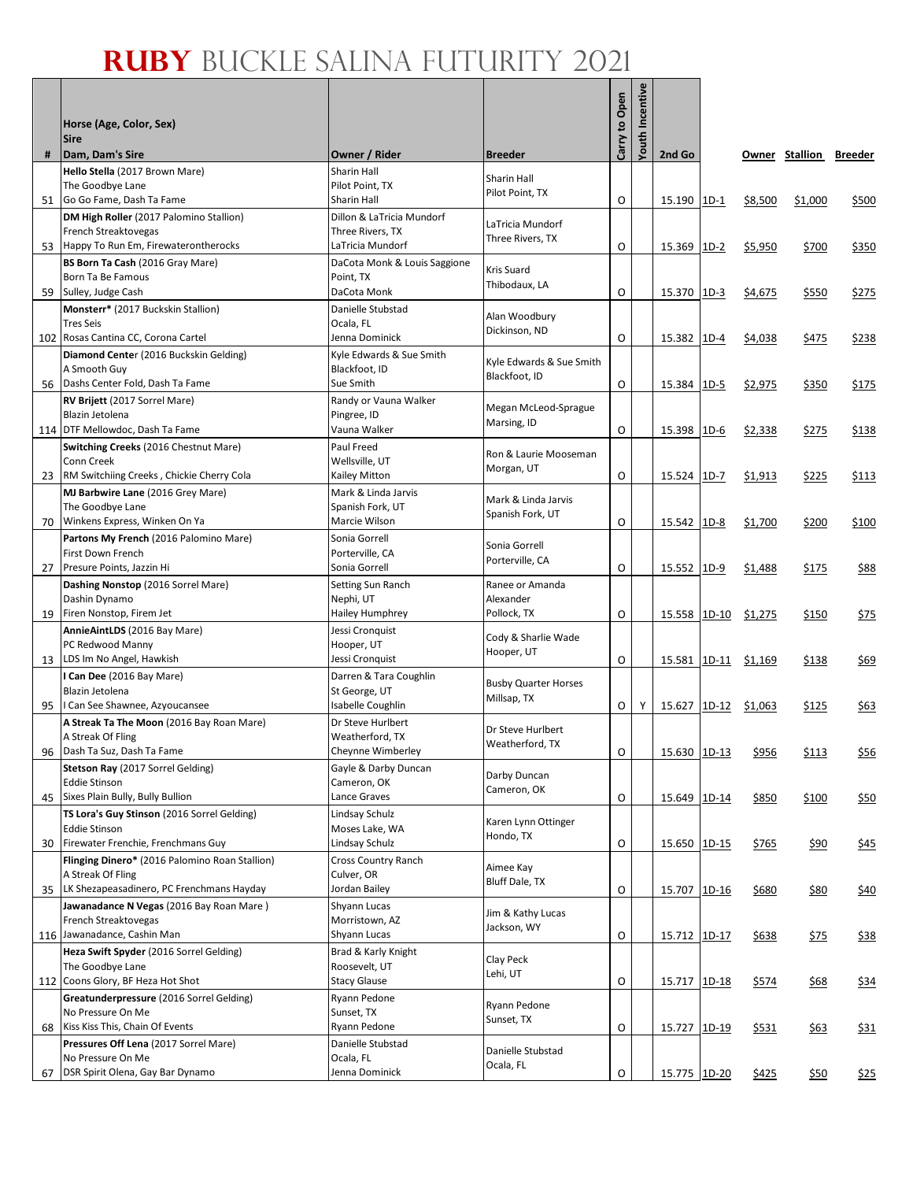|    | Horse (Age, Color, Sex)<br><b>Sire</b>                              |                                           |                                            | Carry to Open | <b>Youth Incentive</b> |              |        |         |                        |       |
|----|---------------------------------------------------------------------|-------------------------------------------|--------------------------------------------|---------------|------------------------|--------------|--------|---------|------------------------|-------|
| #  | Dam, Dam's Sire                                                     | Owner / Rider                             | <b>Breeder</b>                             |               |                        | 2nd Go       |        |         | Owner Stallion Breeder |       |
|    | Hello Stella (2017 Brown Mare)<br>The Goodbye Lane                  | Sharin Hall<br>Pilot Point, TX            | Sharin Hall                                |               |                        |              |        |         |                        |       |
|    | 51 Go Go Fame, Dash Ta Fame                                         | Sharin Hall                               | Pilot Point, TX                            | O             |                        | 15.190 1D-1  |        | \$8,500 | \$1,000                | \$500 |
|    | DM High Roller (2017 Palomino Stallion)                             | Dillon & LaTricia Mundorf                 |                                            |               |                        |              |        |         |                        |       |
|    | French Streaktovegas                                                | Three Rivers, TX                          | LaTricia Mundorf<br>Three Rivers, TX       |               |                        |              |        |         |                        |       |
|    | 53 Happy To Run Em, Firewaterontherocks                             | LaTricia Mundorf                          |                                            | O             |                        | 15.369       | $1D-2$ | \$5,950 | \$700                  | \$350 |
|    | BS Born Ta Cash (2016 Gray Mare)<br>Born Ta Be Famous               | DaCota Monk & Louis Saggione<br>Point, TX | Kris Suard                                 |               |                        |              |        |         |                        |       |
| 59 | Sulley, Judge Cash                                                  | DaCota Monk                               | Thibodaux, LA                              | O             |                        | 15.370 1D-3  |        | \$4,675 | \$550                  | \$275 |
|    | Monsterr* (2017 Buckskin Stallion)                                  | Danielle Stubstad                         |                                            |               |                        |              |        |         |                        |       |
|    | <b>Tres Seis</b>                                                    | Ocala, FL                                 | Alan Woodbury<br>Dickinson, ND             |               |                        |              |        |         |                        |       |
|    | 102 Rosas Cantina CC, Corona Cartel                                 | Jenna Dominick                            |                                            | O             |                        | 15.382       | $1D-4$ | \$4,038 | \$475                  | \$238 |
|    | Diamond Center (2016 Buckskin Gelding)<br>A Smooth Guy              | Kyle Edwards & Sue Smith<br>Blackfoot, ID | Kyle Edwards & Sue Smith                   |               |                        |              |        |         |                        |       |
| 56 | Dashs Center Fold, Dash Ta Fame                                     | Sue Smith                                 | Blackfoot, ID                              | 0             |                        | 15.384       | $1D-5$ | \$2,975 | \$350                  | \$175 |
|    | RV Brijett (2017 Sorrel Mare)                                       | Randy or Vauna Walker                     |                                            |               |                        |              |        |         |                        |       |
|    | Blazin Jetolena                                                     | Pingree, ID                               | Megan McLeod-Sprague<br>Marsing, ID        |               |                        |              |        |         |                        |       |
|    | 114 DTF Mellowdoc, Dash Ta Fame                                     | Vauna Walker                              |                                            | O             |                        | 15.398       | $1D-6$ | \$2,338 | \$275                  | \$138 |
|    | Switching Creeks (2016 Chestnut Mare)                               | Paul Freed<br>Wellsville, UT              | Ron & Laurie Mooseman                      |               |                        |              |        |         |                        |       |
| 23 | Conn Creek<br>RM Switchiing Creeks, Chickie Cherry Cola             | Kailey Mitton                             | Morgan, UT                                 | O             |                        | 15.524 1D-7  |        | \$1,913 | \$225                  | \$113 |
|    | MJ Barbwire Lane (2016 Grey Mare)                                   | Mark & Linda Jarvis                       |                                            |               |                        |              |        |         |                        |       |
|    | The Goodbye Lane                                                    | Spanish Fork, UT                          | Mark & Linda Jarvis<br>Spanish Fork, UT    |               |                        |              |        |         |                        |       |
| 70 | Winkens Express, Winken On Ya                                       | Marcie Wilson                             |                                            | O             |                        | 15.542 1D-8  |        | \$1,700 | \$200                  | \$100 |
|    | Partons My French (2016 Palomino Mare)                              | Sonia Gorrell                             | Sonia Gorrell                              |               |                        |              |        |         |                        |       |
| 27 | First Down French<br>Presure Points, Jazzin Hi                      | Porterville, CA<br>Sonia Gorrell          | Porterville, CA                            | O             |                        | 15.552       | $1D-9$ | \$1,488 | \$175                  | \$88  |
|    | Dashing Nonstop (2016 Sorrel Mare)                                  | Setting Sun Ranch                         | Ranee or Amanda                            |               |                        |              |        |         |                        |       |
|    | Dashin Dynamo                                                       | Nephi, UT                                 | Alexander                                  |               |                        |              |        |         |                        |       |
| 19 | Firen Nonstop, Firem Jet                                            | Hailey Humphrey                           | Pollock, TX                                | O             |                        | 15.558 1D-10 |        | \$1,275 | \$150                  | \$75  |
|    | AnnieAintLDS (2016 Bay Mare)                                        | Jessi Cronquist                           | Cody & Sharlie Wade                        |               |                        |              |        |         |                        |       |
| 13 | PC Redwood Manny<br>LDS Im No Angel, Hawkish                        | Hooper, UT<br>Jessi Cronquist             | Hooper, UT                                 | O             |                        | 15.581 1D-11 |        | \$1,169 | \$138                  | \$69  |
|    | I Can Dee (2016 Bay Mare)                                           | Darren & Tara Coughlin                    |                                            |               |                        |              |        |         |                        |       |
|    | Blazin Jetolena                                                     | St George, UT                             | <b>Busby Quarter Horses</b><br>Millsap, TX |               |                        |              |        |         |                        |       |
| 95 | I Can See Shawnee, Azyoucansee                                      | Isabelle Coughlin                         |                                            | $\circ$       | Y                      | 15.627 1D-12 |        | \$1,063 | \$125                  | \$63  |
|    | A Streak Ta The Moon (2016 Bay Roan Mare)<br>A Streak Of Fling      | Dr Steve Hurlbert<br>Weatherford, TX      | Dr Steve Hurlbert                          |               |                        |              |        |         |                        |       |
|    | 96 Dash Ta Suz, Dash Ta Fame                                        | Cheynne Wimberley                         | Weatherford, TX                            | $\circ$       |                        | 15.630 1D-13 |        | \$956   | \$113                  | \$56  |
|    | Stetson Ray (2017 Sorrel Gelding)                                   | Gayle & Darby Duncan                      |                                            |               |                        |              |        |         |                        |       |
|    | <b>Eddie Stinson</b>                                                | Cameron, OK                               | Darby Duncan<br>Cameron, OK                |               |                        |              |        |         |                        |       |
| 45 | Sixes Plain Bully, Bully Bullion                                    | Lance Graves                              |                                            | O             |                        | 15.649 1D-14 |        | \$850   | \$100                  | \$50  |
|    | TS Lora's Guy Stinson (2016 Sorrel Gelding)<br><b>Eddie Stinson</b> | Lindsay Schulz<br>Moses Lake, WA          | Karen Lynn Ottinger                        |               |                        |              |        |         |                        |       |
| 30 | Firewater Frenchie, Frenchmans Guy                                  | Lindsay Schulz                            | Hondo, TX                                  | O             |                        | 15.650 1D-15 |        | \$765   | \$90                   | \$45  |
|    | Flinging Dinero* (2016 Palomino Roan Stallion)                      | Cross Country Ranch                       |                                            |               |                        |              |        |         |                        |       |
|    | A Streak Of Fling                                                   | Culver, OR                                | Aimee Kay<br><b>Bluff Dale, TX</b>         |               |                        |              |        |         |                        |       |
|    | 35 LK Shezapeasadinero, PC Frenchmans Hayday                        | Jordan Bailey                             |                                            | O             |                        | 15.707 1D-16 |        | \$680   | \$80                   | \$40  |
|    | Jawanadance N Vegas (2016 Bay Roan Mare)<br>French Streaktovegas    | Shyann Lucas<br>Morristown, AZ            | Jim & Kathy Lucas                          |               |                        |              |        |         |                        |       |
|    | 116 Jawanadance, Cashin Man                                         | Shyann Lucas                              | Jackson, WY                                | O             |                        | 15.712 1D-17 |        | \$638   | <u>\$75</u>            | \$38  |
|    | Heza Swift Spyder (2016 Sorrel Gelding)                             | Brad & Karly Knight                       | Clay Peck                                  |               |                        |              |        |         |                        |       |
|    | The Goodbye Lane                                                    | Roosevelt, UT                             | Lehi, UT                                   |               |                        |              |        |         |                        |       |
|    | 112 Coons Glory, BF Heza Hot Shot                                   | <b>Stacy Glause</b>                       |                                            | O             |                        | 15.717 1D-18 |        | \$574   | \$68                   | \$34  |
|    | Greatunderpressure (2016 Sorrel Gelding)<br>No Pressure On Me       | Ryann Pedone<br>Sunset, TX                | Ryann Pedone                               |               |                        |              |        |         |                        |       |
| 68 | Kiss Kiss This, Chain Of Events                                     | Ryann Pedone                              | Sunset, TX                                 | O             |                        | 15.727 1D-19 |        | \$531   | \$63                   | \$31  |
|    | Pressures Off Lena (2017 Sorrel Mare)                               | Danielle Stubstad                         | Danielle Stubstad                          |               |                        |              |        |         |                        |       |
|    | No Pressure On Me                                                   | Ocala, FL                                 | Ocala, FL                                  |               |                        |              |        |         |                        |       |
| 67 | DSR Spirit Olena, Gay Bar Dynamo                                    | Jenna Dominick                            |                                            | O             |                        | 15.775 1D-20 |        | \$425   | \$50                   | \$25  |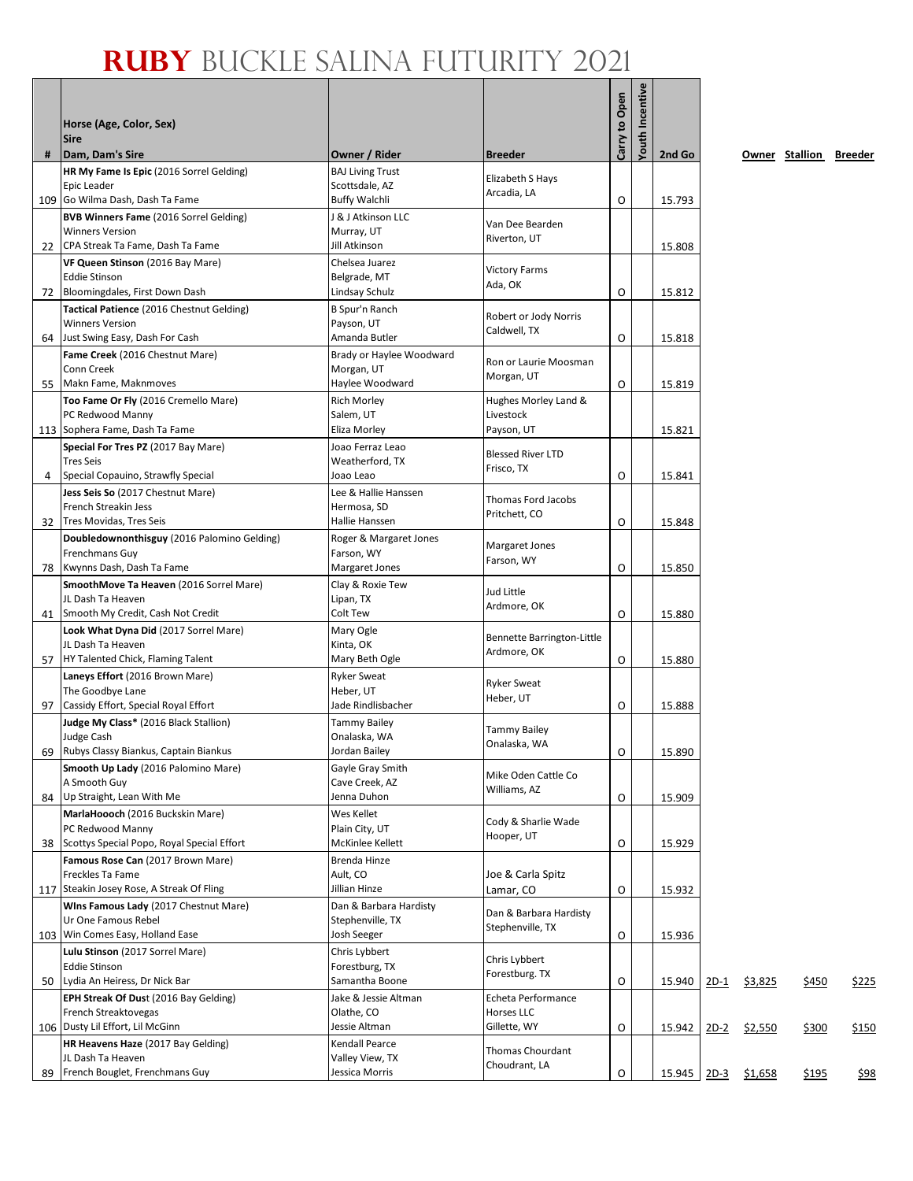|      | Horse (Age, Color, Sex)<br>Sire                                        |                                          |                                           | Carry to Open | <b>Youth Incentive</b> |        |             |         |                        |              |
|------|------------------------------------------------------------------------|------------------------------------------|-------------------------------------------|---------------|------------------------|--------|-------------|---------|------------------------|--------------|
| #    | Dam, Dam's Sire<br>HR My Fame Is Epic (2016 Sorrel Gelding)            | Owner / Rider<br><b>BAJ Living Trust</b> | <b>Breeder</b>                            |               |                        | 2nd Go |             |         | Owner Stallion Breeder |              |
|      | Epic Leader                                                            | Scottsdale, AZ                           | Elizabeth S Hays                          |               |                        |        |             |         |                        |              |
|      | 109 Go Wilma Dash, Dash Ta Fame                                        | <b>Buffy Walchli</b>                     | Arcadia, LA                               | O             |                        | 15.793 |             |         |                        |              |
|      | <b>BVB Winners Fame</b> (2016 Sorrel Gelding)                          | J & J Atkinson LLC                       | Van Dee Bearden                           |               |                        |        |             |         |                        |              |
|      | <b>Winners Version</b>                                                 | Murray, UT                               | Riverton, UT                              |               |                        |        |             |         |                        |              |
| 22   | CPA Streak Ta Fame, Dash Ta Fame<br>VF Queen Stinson (2016 Bay Mare)   | Jill Atkinson                            |                                           |               |                        | 15.808 |             |         |                        |              |
|      | <b>Eddie Stinson</b>                                                   | Chelsea Juarez<br>Belgrade, MT           | <b>Victory Farms</b>                      |               |                        |        |             |         |                        |              |
| 72   | Bloomingdales, First Down Dash                                         | Lindsay Schulz                           | Ada, OK                                   | O             |                        | 15.812 |             |         |                        |              |
|      | Tactical Patience (2016 Chestnut Gelding)                              | B Spur'n Ranch                           |                                           |               |                        |        |             |         |                        |              |
|      | <b>Winners Version</b>                                                 | Payson, UT                               | Robert or Jody Norris<br>Caldwell, TX     |               |                        |        |             |         |                        |              |
| 64   | Just Swing Easy, Dash For Cash                                         | Amanda Butler                            |                                           | O             |                        | 15.818 |             |         |                        |              |
|      | Fame Creek (2016 Chestnut Mare)                                        | Brady or Haylee Woodward                 | Ron or Laurie Moosman                     |               |                        |        |             |         |                        |              |
| 55   | Conn Creek<br>Makn Fame, Maknmoves                                     | Morgan, UT<br>Haylee Woodward            | Morgan, UT                                | O             |                        | 15.819 |             |         |                        |              |
|      | Too Fame Or Fly (2016 Cremello Mare)                                   | <b>Rich Morley</b>                       | Hughes Morley Land &                      |               |                        |        |             |         |                        |              |
|      | PC Redwood Manny                                                       | Salem, UT                                | Livestock                                 |               |                        |        |             |         |                        |              |
|      | 113 Sophera Fame, Dash Ta Fame                                         | Eliza Morley                             | Payson, UT                                |               |                        | 15.821 |             |         |                        |              |
|      | Special For Tres PZ (2017 Bay Mare)                                    | Joao Ferraz Leao                         | <b>Blessed River LTD</b>                  |               |                        |        |             |         |                        |              |
|      | <b>Tres Seis</b>                                                       | Weatherford, TX                          | Frisco, TX                                |               |                        |        |             |         |                        |              |
| 4    | Special Copauino, Strawfly Special                                     | Joao Leao                                |                                           | O             |                        | 15.841 |             |         |                        |              |
|      | Jess Seis So (2017 Chestnut Mare)<br>French Streakin Jess              | Lee & Hallie Hanssen<br>Hermosa, SD      | Thomas Ford Jacobs                        |               |                        |        |             |         |                        |              |
|      | 32 Tres Movidas, Tres Seis                                             | Hallie Hanssen                           | Pritchett, CO                             | O             |                        | 15.848 |             |         |                        |              |
|      | Doubledownonthisguy (2016 Palomino Gelding)                            | Roger & Margaret Jones                   |                                           |               |                        |        |             |         |                        |              |
|      | Frenchmans Guy                                                         | Farson, WY                               | Margaret Jones<br>Farson, WY              |               |                        |        |             |         |                        |              |
| 78   | Kwynns Dash, Dash Ta Fame                                              | Margaret Jones                           |                                           | O             |                        | 15.850 |             |         |                        |              |
|      | SmoothMove Ta Heaven (2016 Sorrel Mare)<br>JL Dash Ta Heaven           | Clay & Roxie Tew                         | Jud Little                                |               |                        |        |             |         |                        |              |
| 41   | Smooth My Credit, Cash Not Credit                                      | Lipan, TX<br>Colt Tew                    | Ardmore, OK                               | O             |                        | 15.880 |             |         |                        |              |
|      | Look What Dyna Did (2017 Sorrel Mare)                                  | Mary Ogle                                |                                           |               |                        |        |             |         |                        |              |
|      | JL Dash Ta Heaven                                                      | Kinta, OK                                | Bennette Barrington-Little<br>Ardmore, OK |               |                        |        |             |         |                        |              |
| 57 I | HY Talented Chick, Flaming Talent                                      | Mary Beth Ogle                           |                                           | O             |                        | 15.880 |             |         |                        |              |
|      | Laneys Effort (2016 Brown Mare)                                        | <b>Ryker Sweat</b>                       | <b>Ryker Sweat</b>                        |               |                        |        |             |         |                        |              |
| 97   | The Goodbye Lane<br>Cassidy Effort, Special Royal Effort               | Heber, UT<br>Jade Rindlisbacher          | Heber, UT                                 |               |                        | 15.888 |             |         |                        |              |
|      | Judge My Class* (2016 Black Stallion)                                  | <b>Tammy Bailey</b>                      |                                           | O             |                        |        |             |         |                        |              |
|      | Judge Cash                                                             | Onalaska, WA                             | Tammy Bailey                              |               |                        |        |             |         |                        |              |
|      | 69 Rubys Classy Biankus, Captain Biankus                               | Jordan Bailey                            | Onalaska, WA                              | O             |                        | 15.890 |             |         |                        |              |
|      | Smooth Up Lady (2016 Palomino Mare)                                    | Gayle Gray Smith                         | Mike Oden Cattle Co                       |               |                        |        |             |         |                        |              |
|      | A Smooth Guy                                                           | Cave Creek, AZ                           | Williams, AZ                              |               |                        |        |             |         |                        |              |
| 84   | Up Straight, Lean With Me                                              | Jenna Duhon                              |                                           | O             |                        | 15.909 |             |         |                        |              |
|      | MarlaHoooch (2016 Buckskin Mare)<br>PC Redwood Manny                   | Wes Kellet<br>Plain City, UT             | Cody & Sharlie Wade                       |               |                        |        |             |         |                        |              |
| 38   | Scottys Special Popo, Royal Special Effort                             | McKinlee Kellett                         | Hooper, UT                                | O             |                        | 15.929 |             |         |                        |              |
|      | Famous Rose Can (2017 Brown Mare)                                      | Brenda Hinze                             |                                           |               |                        |        |             |         |                        |              |
|      | Freckles Ta Fame                                                       | Ault, CO                                 | Joe & Carla Spitz                         |               |                        |        |             |         |                        |              |
|      | 117 Steakin Josey Rose, A Streak Of Fling                              | Jillian Hinze                            | Lamar, CO                                 | O             |                        | 15.932 |             |         |                        |              |
|      | Wins Famous Lady (2017 Chestnut Mare)                                  | Dan & Barbara Hardisty                   | Dan & Barbara Hardisty                    |               |                        |        |             |         |                        |              |
|      | Ur One Famous Rebel<br>103 Win Comes Easy, Holland Ease                | Stephenville, TX<br>Josh Seeger          | Stephenville, TX                          | O             |                        | 15.936 |             |         |                        |              |
|      | Lulu Stinson (2017 Sorrel Mare)                                        | Chris Lybbert                            |                                           |               |                        |        |             |         |                        |              |
|      | <b>Eddie Stinson</b>                                                   | Forestburg, TX                           | Chris Lybbert                             |               |                        |        |             |         |                        |              |
| 50   | Lydia An Heiress, Dr Nick Bar                                          | Samantha Boone                           | Forestburg. TX                            | O             |                        | 15.940 | <u>2D-1</u> | \$3,825 | \$450                  | <u>\$225</u> |
|      | EPH Streak Of Dust (2016 Bay Gelding)                                  | Jake & Jessie Altman                     | Echeta Performance                        |               |                        |        |             |         |                        |              |
|      | French Streaktovegas                                                   | Olathe, CO                               | Horses LLC                                |               |                        |        |             |         |                        |              |
|      | 106 Dusty Lil Effort, Lil McGinn<br>HR Heavens Haze (2017 Bay Gelding) | Jessie Altman<br>Kendall Pearce          | Gillette, WY                              | O             |                        | 15.942 | $2D-2$      | \$2,550 | \$300                  | \$150        |
|      | JL Dash Ta Heaven                                                      | Valley View, TX                          | Thomas Chourdant                          |               |                        |        |             |         |                        |              |
| 89   | French Bouglet, Frenchmans Guy                                         | Jessica Morris                           | Choudrant, LA                             | O             |                        | 15.945 | $2D-3$      | \$1,658 | \$195                  | \$98         |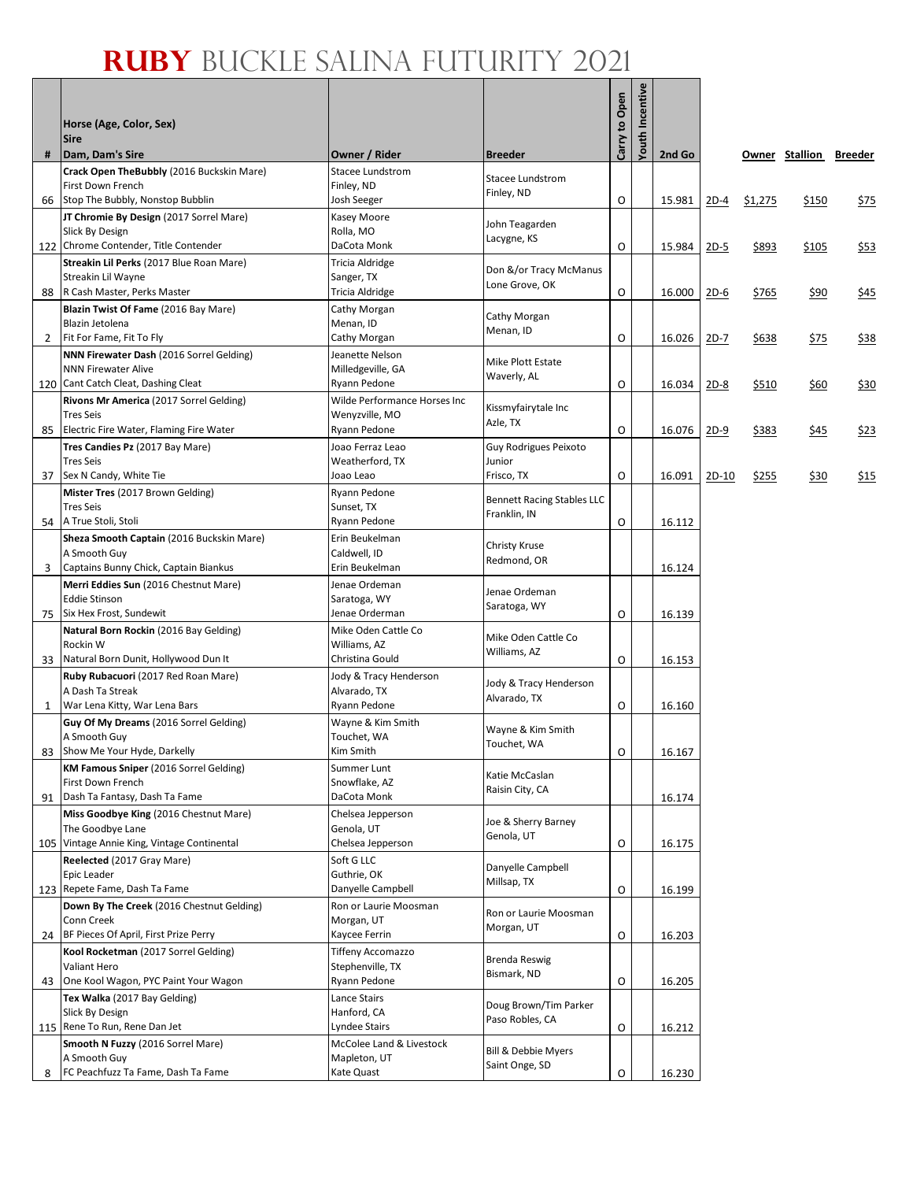|     | Horse (Age, Color, Sex)<br><b>Sire</b>                                         |                                              |                                   | Carry to Open | <b>Youth Incentiv</b> |        |         |         |                        |             |
|-----|--------------------------------------------------------------------------------|----------------------------------------------|-----------------------------------|---------------|-----------------------|--------|---------|---------|------------------------|-------------|
| #   | Dam, Dam's Sire                                                                | Owner / Rider                                | <b>Breeder</b>                    |               |                       | 2nd Go |         |         | Owner Stallion Breeder |             |
|     | Crack Open The Bubbly (2016 Buckskin Mare)<br>First Down French                | <b>Stacee Lundstrom</b><br>Finley, ND        | Stacee Lundstrom                  |               |                       |        |         |         |                        |             |
| 66  | Stop The Bubbly, Nonstop Bubblin                                               | Josh Seeger                                  | Finley, ND                        | O             |                       | 15.981 | $2D-4$  | \$1,275 | \$150                  | <u>\$75</u> |
|     | JT Chromie By Design (2017 Sorrel Mare)                                        | Kasey Moore                                  | John Teagarden                    |               |                       |        |         |         |                        |             |
|     | Slick By Design                                                                | Rolla, MO                                    | Lacygne, KS                       |               |                       |        |         |         |                        |             |
|     | 122 Chrome Contender, Title Contender                                          | DaCota Monk                                  |                                   | O             |                       | 15.984 | $2D-5$  | \$893   | \$105                  | \$53        |
|     | Streakin Lil Perks (2017 Blue Roan Mare)<br>Streakin Lil Wayne                 | Tricia Aldridge<br>Sanger, TX                | Don &/or Tracy McManus            |               |                       |        |         |         |                        |             |
| 88  | R Cash Master, Perks Master                                                    | Tricia Aldridge                              | Lone Grove, OK                    | O             |                       | 16.000 | $2D-6$  | \$765   | \$90                   | \$45        |
|     | Blazin Twist Of Fame (2016 Bay Mare)                                           | Cathy Morgan                                 | Cathy Morgan                      |               |                       |        |         |         |                        |             |
|     | Blazin Jetolena                                                                | Menan, ID                                    | Menan, ID                         |               |                       |        |         |         |                        |             |
| 2   | Fit For Fame, Fit To Fly                                                       | Cathy Morgan                                 |                                   | O             |                       | 16.026 | 2D-7    | \$638   | \$75                   | \$38        |
|     | NNN Firewater Dash (2016 Sorrel Gelding)<br><b>NNN Firewater Alive</b>         | Jeanette Nelson<br>Milledgeville, GA         | Mike Plott Estate                 |               |                       |        |         |         |                        |             |
| 120 | Cant Catch Cleat, Dashing Cleat                                                | Ryann Pedone                                 | Waverly, AL                       | O             |                       | 16.034 | $2D-8$  | \$510   | \$60                   | \$30        |
|     | Rivons Mr America (2017 Sorrel Gelding)                                        | Wilde Performance Horses Inc                 |                                   |               |                       |        |         |         |                        |             |
|     | <b>Tres Seis</b>                                                               | Wenyzville, MO                               | Kissmyfairytale Inc<br>Azle, TX   |               |                       |        |         |         |                        |             |
| 85  | Electric Fire Water, Flaming Fire Water                                        | Ryann Pedone                                 |                                   | O             |                       | 16.076 | $2D-9$  | \$383   | \$45                   | <u>\$23</u> |
|     | Tres Candies Pz (2017 Bay Mare)                                                | Joao Ferraz Leao                             | Guy Rodrigues Peixoto             |               |                       |        |         |         |                        |             |
| 37  | <b>Tres Seis</b><br>Sex N Candy, White Tie                                     | Weatherford, TX<br>Joao Leao                 | Junior<br>Frisco, TX              | O             |                       | 16.091 | $2D-10$ | \$255   | \$30                   | \$15        |
|     | Mister Tres (2017 Brown Gelding)                                               | Ryann Pedone                                 |                                   |               |                       |        |         |         |                        |             |
|     | <b>Tres Seis</b>                                                               | Sunset, TX                                   | <b>Bennett Racing Stables LLC</b> |               |                       |        |         |         |                        |             |
| 54  | A True Stoli, Stoli                                                            | Ryann Pedone                                 | Franklin, IN                      | O             |                       | 16.112 |         |         |                        |             |
|     | Sheza Smooth Captain (2016 Buckskin Mare)                                      | Erin Beukelman                               | Christy Kruse                     |               |                       |        |         |         |                        |             |
|     | A Smooth Guy                                                                   | Caldwell, ID<br>Erin Beukelman               | Redmond, OR                       |               |                       |        |         |         |                        |             |
| 3   | Captains Bunny Chick, Captain Biankus<br>Merri Eddies Sun (2016 Chestnut Mare) | Jenae Ordeman                                |                                   |               |                       | 16.124 |         |         |                        |             |
|     | <b>Eddie Stinson</b>                                                           | Saratoga, WY                                 | Jenae Ordeman                     |               |                       |        |         |         |                        |             |
| 75  | Six Hex Frost, Sundewit                                                        | Jenae Orderman                               | Saratoga, WY                      | O             |                       | 16.139 |         |         |                        |             |
|     | Natural Born Rockin (2016 Bay Gelding)                                         | Mike Oden Cattle Co                          | Mike Oden Cattle Co               |               |                       |        |         |         |                        |             |
|     | Rockin W                                                                       | Williams, AZ                                 | Williams, AZ                      |               |                       |        |         |         |                        |             |
| 33  | Natural Born Dunit, Hollywood Dun It<br>Ruby Rubacuori (2017 Red Roan Mare)    | Christina Gould<br>Jody & Tracy Henderson    |                                   | O             |                       | 16.153 |         |         |                        |             |
|     | A Dash Ta Streak                                                               | Alvarado, TX                                 | Jody & Tracy Henderson            |               |                       |        |         |         |                        |             |
| 1   | War Lena Kitty, War Lena Bars                                                  | Ryann Pedone                                 | Alvarado, TX                      | O             |                       | 16.160 |         |         |                        |             |
|     | Guy Of My Dreams (2016 Sorrel Gelding)                                         | Wayne & Kim Smith                            | Wayne & Kim Smith                 |               |                       |        |         |         |                        |             |
|     | A Smooth Guy                                                                   | Touchet, WA                                  | Touchet, WA                       |               |                       |        |         |         |                        |             |
|     | 83 Show Me Your Hyde, Darkelly                                                 | Kim Smith                                    |                                   | O             |                       | 16.167 |         |         |                        |             |
|     | <b>KM Famous Sniper</b> (2016 Sorrel Gelding)<br>First Down French             | Summer Lunt<br>Snowflake, AZ                 | Katie McCaslan                    |               |                       |        |         |         |                        |             |
| 91  | Dash Ta Fantasy, Dash Ta Fame                                                  | DaCota Monk                                  | Raisin City, CA                   |               |                       | 16.174 |         |         |                        |             |
|     | Miss Goodbye King (2016 Chestnut Mare)                                         | Chelsea Jepperson                            | Joe & Sherry Barney               |               |                       |        |         |         |                        |             |
|     | The Goodbye Lane                                                               | Genola, UT                                   | Genola, UT                        |               |                       |        |         |         |                        |             |
|     | 105 Vintage Annie King, Vintage Continental                                    | Chelsea Jepperson                            |                                   | O             |                       | 16.175 |         |         |                        |             |
|     | Reelected (2017 Gray Mare)<br>Epic Leader                                      | Soft G LLC<br>Guthrie, OK                    | Danyelle Campbell                 |               |                       |        |         |         |                        |             |
|     | 123 Repete Fame, Dash Ta Fame                                                  | Danyelle Campbell                            | Millsap, TX                       | O             |                       | 16.199 |         |         |                        |             |
|     | Down By The Creek (2016 Chestnut Gelding)                                      | Ron or Laurie Moosman                        | Ron or Laurie Moosman             |               |                       |        |         |         |                        |             |
|     | Conn Creek                                                                     | Morgan, UT                                   | Morgan, UT                        |               |                       |        |         |         |                        |             |
| 24  | BF Pieces Of April, First Prize Perry                                          | Kaycee Ferrin                                |                                   | O             |                       | 16.203 |         |         |                        |             |
|     | Kool Rocketman (2017 Sorrel Gelding)<br>Valiant Hero                           | <b>Tiffeny Accomazzo</b><br>Stephenville, TX | Brenda Reswig                     |               |                       |        |         |         |                        |             |
| 43  | One Kool Wagon, PYC Paint Your Wagon                                           | Ryann Pedone                                 | Bismark, ND                       | O             |                       | 16.205 |         |         |                        |             |
|     | Tex Walka (2017 Bay Gelding)                                                   | Lance Stairs                                 | Doug Brown/Tim Parker             |               |                       |        |         |         |                        |             |
|     | Slick By Design                                                                | Hanford, CA                                  | Paso Robles, CA                   |               |                       |        |         |         |                        |             |
| 115 | Rene To Run, Rene Dan Jet                                                      | Lyndee Stairs                                |                                   | O             |                       | 16.212 |         |         |                        |             |
|     | Smooth N Fuzzy (2016 Sorrel Mare)<br>A Smooth Guy                              | McColee Land & Livestock<br>Mapleton, UT     | Bill & Debbie Myers               |               |                       |        |         |         |                        |             |
| 8   | FC Peachfuzz Ta Fame, Dash Ta Fame                                             | Kate Quast                                   | Saint Onge, SD                    | О             |                       | 16.230 |         |         |                        |             |
|     |                                                                                |                                              |                                   |               |                       |        |         |         |                        |             |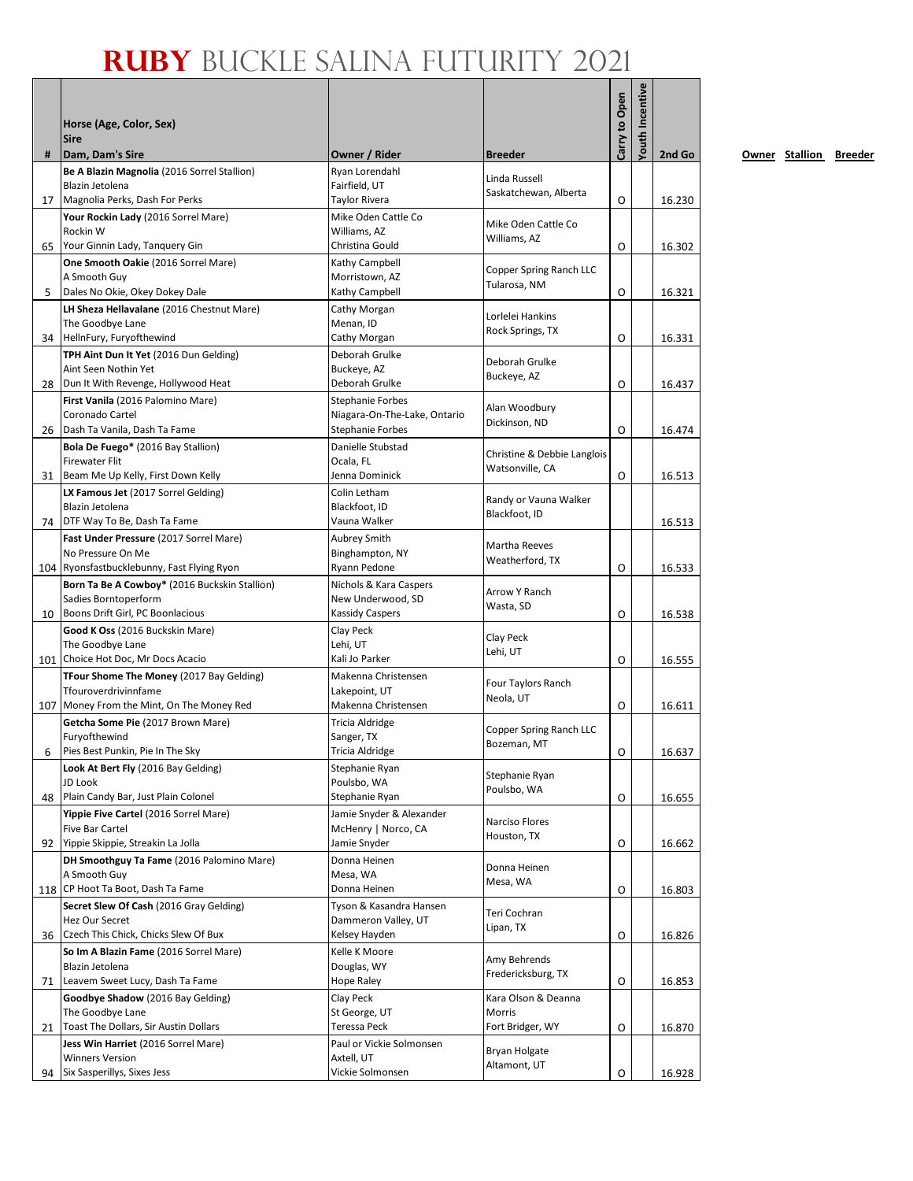#### **Ruby** Buckle Salina Futurity 2021

|    | Horse (Age, Color, Sex)<br><b>Sire</b>                         |                                                  |                                                | Carry to Open | Youth Incentive |        |
|----|----------------------------------------------------------------|--------------------------------------------------|------------------------------------------------|---------------|-----------------|--------|
| #  | Dam, Dam's Sire                                                | Owner / Rider<br>Ryan Lorendahl                  | <b>Breeder</b>                                 |               |                 | 2nd Go |
|    | Be A Blazin Magnolia (2016 Sorrel Stallion)<br>Blazin Jetolena | Fairfield, UT                                    | Linda Russell                                  |               |                 |        |
| 17 | Magnolia Perks, Dash For Perks                                 | Taylor Rivera                                    | Saskatchewan, Alberta                          | O             |                 | 16.230 |
|    | Your Rockin Lady (2016 Sorrel Mare)                            | Mike Oden Cattle Co                              |                                                |               |                 |        |
|    | Rockin W                                                       | Williams, AZ                                     | Mike Oden Cattle Co<br>Williams, AZ            |               |                 |        |
| 65 | Your Ginnin Lady, Tanquery Gin                                 | Christina Gould                                  |                                                | O             |                 | 16.302 |
|    | One Smooth Oakie (2016 Sorrel Mare)                            | Kathy Campbell                                   | Copper Spring Ranch LLC                        |               |                 |        |
| 5  | A Smooth Guy<br>Dales No Okie, Okey Dokey Dale                 | Morristown, AZ<br>Kathy Campbell                 | Tularosa, NM                                   | O             |                 | 16.321 |
|    | LH Sheza Hellavalane (2016 Chestnut Mare)                      | Cathy Morgan                                     |                                                |               |                 |        |
|    | The Goodbye Lane                                               | Menan, ID                                        | Lorlelei Hankins                               |               |                 |        |
| 34 | HellnFury, Furyofthewind                                       | Cathy Morgan                                     | Rock Springs, TX                               | O             |                 | 16.331 |
|    | TPH Aint Dun It Yet (2016 Dun Gelding)                         | Deborah Grulke                                   | Deborah Grulke                                 |               |                 |        |
|    | Aint Seen Nothin Yet                                           | Buckeye, AZ                                      | Buckeye, AZ                                    |               |                 |        |
| 28 | Dun It With Revenge, Hollywood Heat                            | Deborah Grulke                                   |                                                | O             |                 | 16.437 |
|    | First Vanila (2016 Palomino Mare)<br>Coronado Cartel           | Stephanie Forbes<br>Niagara-On-The-Lake, Ontario | Alan Woodbury                                  |               |                 |        |
| 26 | Dash Ta Vanila, Dash Ta Fame                                   | <b>Stephanie Forbes</b>                          | Dickinson, ND                                  | O             |                 | 16.474 |
|    | <b>Bola De Fuego*</b> (2016 Bay Stallion)                      | Danielle Stubstad                                |                                                |               |                 |        |
|    | <b>Firewater Flit</b>                                          | Ocala, FL                                        | Christine & Debbie Langlois<br>Watsonville, CA |               |                 |        |
| 31 | Beam Me Up Kelly, First Down Kelly                             | Jenna Dominick                                   |                                                | O             |                 | 16.513 |
|    | LX Famous Jet (2017 Sorrel Gelding)                            | Colin Letham                                     | Randy or Vauna Walker                          |               |                 |        |
| 74 | Blazin Jetolena<br>DTF Way To Be, Dash Ta Fame                 | Blackfoot, ID<br>Vauna Walker                    | Blackfoot, ID                                  |               |                 |        |
|    | Fast Under Pressure (2017 Sorrel Mare)                         | Aubrey Smith                                     |                                                |               |                 | 16.513 |
|    | No Pressure On Me                                              | Binghampton, NY                                  | Martha Reeves                                  |               |                 |        |
|    | 104 Ryonsfastbucklebunny, Fast Flying Ryon                     | Ryann Pedone                                     | Weatherford, TX                                | O             |                 | 16.533 |
|    | Born Ta Be A Cowboy* (2016 Buckskin Stallion)                  | Nichols & Kara Caspers                           | Arrow Y Ranch                                  |               |                 |        |
|    | Sadies Borntoperform                                           | New Underwood, SD                                | Wasta, SD                                      |               |                 |        |
| 10 | Boons Drift Girl, PC Boonlacious                               | Kassidy Caspers                                  |                                                | O             |                 | 16.538 |
|    | Good K Oss (2016 Buckskin Mare)<br>The Goodbye Lane            | Clay Peck<br>Lehi, UT                            | Clay Peck                                      |               |                 |        |
|    | 101 Choice Hot Doc, Mr Docs Acacio                             | Kali Jo Parker                                   | Lehi, UT                                       | O             |                 | 16.555 |
|    | TFour Shome The Money (2017 Bay Gelding)                       | Makenna Christensen                              |                                                |               |                 |        |
|    | Tfouroverdrivinnfame                                           | Lakepoint, UT                                    | Four Taylors Ranch                             |               |                 |        |
|    | 107 Money From the Mint, On The Money Red                      | Makenna Christensen                              | Neola, UT                                      | O             |                 | 16.611 |
|    | Getcha Some Pie (2017 Brown Mare)                              | Tricia Aldridge                                  | Copper Spring Ranch LLC                        |               |                 |        |
|    | Furyofthewind                                                  | Sanger, TX                                       | Bozeman, MT                                    |               |                 |        |
| 6  | Pies Best Punkin, Pie In The Sky                               | <b>Tricia Aldridge</b>                           |                                                | 0             |                 | 16.637 |
|    | Look At Bert Fly (2016 Bay Gelding)<br>JD Look                 | Stephanie Ryan<br>Poulsbo, WA                    | Stephanie Ryan                                 |               |                 |        |
| 48 | Plain Candy Bar, Just Plain Colonel                            | Stephanie Ryan                                   | Poulsbo, WA                                    | O             |                 | 16.655 |
|    | Yippie Five Cartel (2016 Sorrel Mare)                          | Jamie Snyder & Alexander                         |                                                |               |                 |        |
|    | Five Bar Cartel                                                | McHenry   Norco, CA                              | Narciso Flores<br>Houston, TX                  |               |                 |        |
| 92 | Yippie Skippie, Streakin La Jolla                              | Jamie Snyder                                     |                                                | O             |                 | 16.662 |
|    | DH Smoothguy Ta Fame (2016 Palomino Mare)                      | Donna Heinen                                     | Donna Heinen                                   |               |                 |        |
|    | A Smooth Guy<br>118 CP Hoot Ta Boot, Dash Ta Fame              | Mesa, WA<br>Donna Heinen                         | Mesa, WA                                       | O             |                 | 16.803 |
|    | Secret Slew Of Cash (2016 Gray Gelding)                        | Tyson & Kasandra Hansen                          |                                                |               |                 |        |
|    | Hez Our Secret                                                 | Dammeron Valley, UT                              | Teri Cochran                                   |               |                 |        |
|    | 36 Czech This Chick, Chicks Slew Of Bux                        | Kelsey Hayden                                    | Lipan, TX                                      | O             |                 | 16.826 |
|    | So Im A Blazin Fame (2016 Sorrel Mare)                         | Kelle K Moore                                    | Amy Behrends                                   |               |                 |        |
|    | Blazin Jetolena                                                | Douglas, WY                                      | Fredericksburg, TX                             |               |                 |        |
| 71 | Leavem Sweet Lucy, Dash Ta Fame                                | Hope Raley                                       |                                                | O             |                 | 16.853 |
|    | Goodbye Shadow (2016 Bay Gelding)<br>The Goodbye Lane          | Clay Peck<br>St George, UT                       | Kara Olson & Deanna<br>Morris                  |               |                 |        |
| 21 | Toast The Dollars, Sir Austin Dollars                          | Teressa Peck                                     | Fort Bridger, WY                               | O             |                 | 16.870 |
|    | Jess Win Harriet (2016 Sorrel Mare)                            | Paul or Vickie Solmonsen                         |                                                |               |                 |        |
|    | <b>Winners Version</b>                                         | Axtell, UT                                       | Bryan Holgate                                  |               |                 |        |
| 94 | Six Sasperillys, Sixes Jess                                    | Vickie Solmonsen                                 | Altamont, UT                                   | O             |                 | 16.928 |

**2008** Owner Stallion Breeder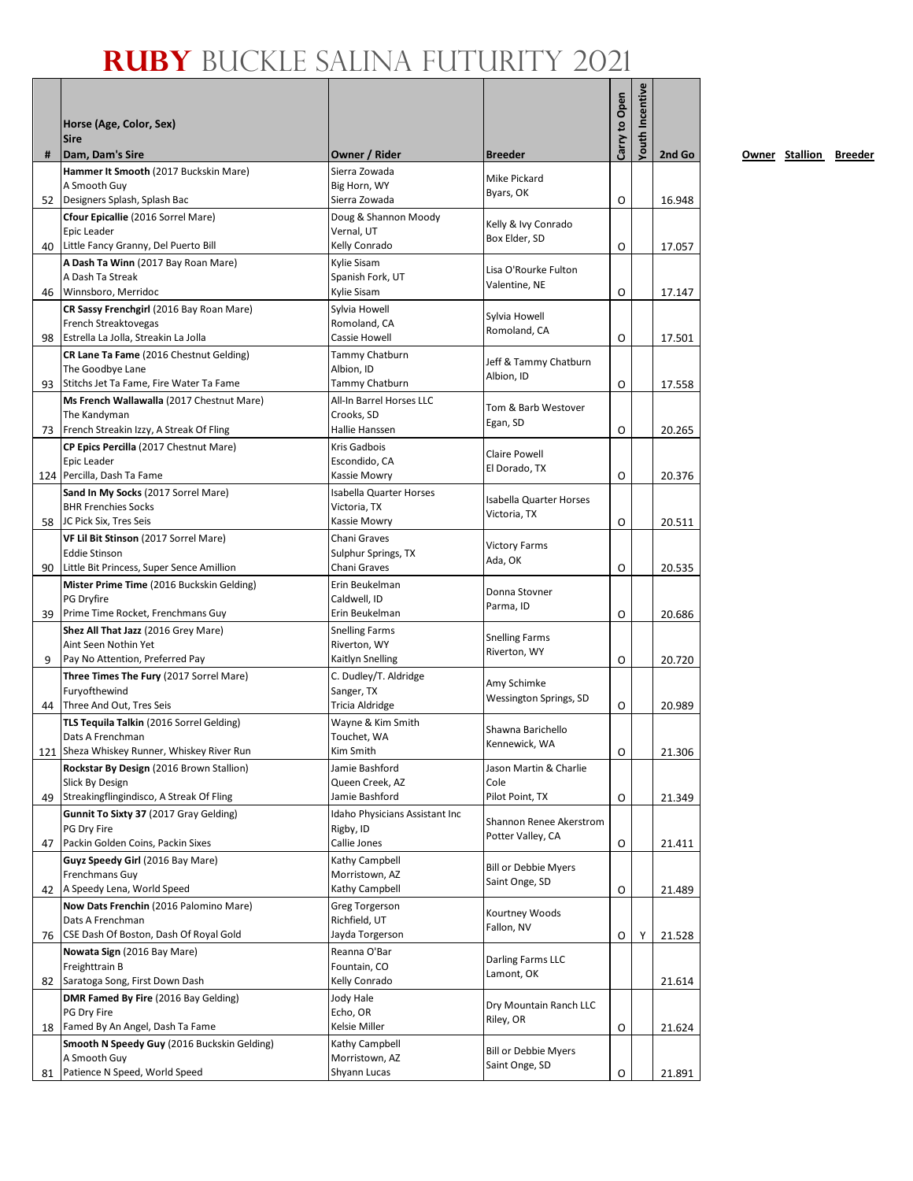#### **Ruby** Buckle Salina Futurity 2021

| #  | Horse (Age, Color, Sex)<br><b>Sire</b><br>Dam, Dam's Sire                               | Owner / Rider                              | <b>Breeder</b>                                | Carry to Open | <b>Youth Incentive</b> | 2nd Go |
|----|-----------------------------------------------------------------------------------------|--------------------------------------------|-----------------------------------------------|---------------|------------------------|--------|
|    | Hammer It Smooth (2017 Buckskin Mare)                                                   | Sierra Zowada                              |                                               |               |                        |        |
|    | A Smooth Guy                                                                            | Big Horn, WY                               | <b>Mike Pickard</b>                           |               |                        |        |
|    | 52 Designers Splash, Splash Bac                                                         | Sierra Zowada                              | Byars, OK                                     | O             |                        | 16.948 |
|    | Cfour Epicallie (2016 Sorrel Mare)                                                      | Doug & Shannon Moody                       | Kelly & Ivy Conrado                           |               |                        |        |
|    | Epic Leader                                                                             | Vernal, UT                                 | Box Elder, SD                                 |               |                        |        |
|    | 40 Little Fancy Granny, Del Puerto Bill                                                 | Kelly Conrado                              |                                               | 0             |                        | 17.057 |
|    | A Dash Ta Winn (2017 Bay Roan Mare)<br>A Dash Ta Streak                                 | Kylie Sisam<br>Spanish Fork, UT            | Lisa O'Rourke Fulton                          |               |                        |        |
|    | 46 Winnsboro, Merridoc                                                                  | Kylie Sisam                                | Valentine, NE                                 | O             |                        | 17.147 |
|    | CR Sassy Frenchgirl (2016 Bay Roan Mare)                                                | Sylvia Howell                              |                                               |               |                        |        |
|    | French Streaktovegas                                                                    | Romoland, CA                               | Sylvia Howell<br>Romoland, CA                 |               |                        |        |
|    | 98 Estrella La Jolla, Streakin La Jolla                                                 | Cassie Howell                              |                                               | O             |                        | 17.501 |
|    | CR Lane Ta Fame (2016 Chestnut Gelding)                                                 | Tammy Chatburn                             | Jeff & Tammy Chatburn                         |               |                        |        |
|    | The Goodbye Lane                                                                        | Albion, ID                                 | Albion, ID                                    |               |                        |        |
|    | 93 Stitchs Jet Ta Fame, Fire Water Ta Fame<br>Ms French Wallawalla (2017 Chestnut Mare) | Tammy Chatburn<br>All-In Barrel Horses LLC |                                               | O             |                        | 17.558 |
|    | The Kandyman                                                                            | Crooks, SD                                 | Tom & Barb Westover                           |               |                        |        |
|    | 73 French Streakin Izzy, A Streak Of Fling                                              | Hallie Hanssen                             | Egan, SD                                      | O             |                        | 20.265 |
|    | CP Epics Percilla (2017 Chestnut Mare)                                                  | Kris Gadbois                               |                                               |               |                        |        |
|    | Epic Leader                                                                             | Escondido, CA                              | <b>Claire Powell</b><br>El Dorado, TX         |               |                        |        |
|    | 124 Percilla, Dash Ta Fame                                                              | Kassie Mowry                               |                                               | O             |                        | 20.376 |
|    | Sand In My Socks (2017 Sorrel Mare)                                                     | <b>Isabella Quarter Horses</b>             | <b>Isabella Quarter Horses</b>                |               |                        |        |
|    | <b>BHR Frenchies Socks</b><br>58 JC Pick Six, Tres Seis                                 | Victoria, TX<br>Kassie Mowry               | Victoria, TX                                  | O             |                        | 20.511 |
|    | VF Lil Bit Stinson (2017 Sorrel Mare)                                                   | Chani Graves                               |                                               |               |                        |        |
|    | <b>Eddie Stinson</b>                                                                    | Sulphur Springs, TX                        | <b>Victory Farms</b>                          |               |                        |        |
| 90 | Little Bit Princess, Super Sence Amillion                                               | Chani Graves                               | Ada, OK                                       | 0             |                        | 20.535 |
|    | Mister Prime Time (2016 Buckskin Gelding)                                               | Erin Beukelman                             | Donna Stovner                                 |               |                        |        |
|    | PG Dryfire                                                                              | Caldwell, ID                               | Parma, ID                                     |               |                        |        |
| 39 | Prime Time Rocket, Frenchmans Guy                                                       | Erin Beukelman                             |                                               | O             |                        | 20.686 |
|    | Shez All That Jazz (2016 Grey Mare)<br>Aint Seen Nothin Yet                             | <b>Snelling Farms</b><br>Riverton, WY      | <b>Snelling Farms</b>                         |               |                        |        |
| 9  | Pay No Attention, Preferred Pay                                                         | Kaitlyn Snelling                           | Riverton, WY                                  | O             |                        | 20.720 |
|    | Three Times The Fury (2017 Sorrel Mare)                                                 | C. Dudley/T. Aldridge                      |                                               |               |                        |        |
|    | Furyofthewind                                                                           | Sanger, TX                                 | Amy Schimke<br>Wessington Springs, SD         |               |                        |        |
|    | 44 Three And Out, Tres Seis                                                             | Tricia Aldridge                            |                                               | O             |                        | 20.989 |
|    | TLS Tequila Talkin (2016 Sorrel Gelding)                                                | Wayne & Kim Smith                          | Shawna Barichello                             |               |                        |        |
|    | Dats A Frenchman<br>121 Sheza Whiskey Runner, Whiskey River Run                         | Touchet, WA<br>Kim Smith                   | Kennewick, WA                                 | O             |                        | 21.306 |
|    | Rockstar By Design (2016 Brown Stallion)                                                | Jamie Bashford                             | Jason Martin & Charlie                        |               |                        |        |
|    | Slick By Design                                                                         | Queen Creek, AZ                            | Cole                                          |               |                        |        |
|    | 49 Streakingflingindisco, A Streak Of Fling                                             | Jamie Bashford                             | Pilot Point, TX                               | O             |                        | 21.349 |
|    | Gunnit To Sixty 37 (2017 Gray Gelding)                                                  | Idaho Physicians Assistant Inc             | Shannon Renee Akerstrom                       |               |                        |        |
|    | PG Dry Fire                                                                             | Rigby, ID                                  | Potter Valley, CA                             |               |                        |        |
|    | 47 Packin Golden Coins, Packin Sixes                                                    | Callie Jones                               |                                               | O             |                        | 21.411 |
|    | Guyz Speedy Girl (2016 Bay Mare)<br>Frenchmans Guy                                      | Kathy Campbell<br>Morristown, AZ           | <b>Bill or Debbie Myers</b>                   |               |                        |        |
|    | 42 A Speedy Lena, World Speed                                                           | Kathy Campbell                             | Saint Onge, SD                                | 0             |                        | 21.489 |
|    | Now Dats Frenchin (2016 Palomino Mare)                                                  | Greg Torgerson                             |                                               |               |                        |        |
|    | Dats A Frenchman                                                                        | Richfield, UT                              | Kourtney Woods<br>Fallon, NV                  |               |                        |        |
|    | 76   CSE Dash Of Boston, Dash Of Royal Gold                                             | Jayda Torgerson                            |                                               | O             | Υ                      | 21.528 |
|    | Nowata Sign (2016 Bay Mare)                                                             | Reanna O'Bar                               | Darling Farms LLC                             |               |                        |        |
|    | Freighttrain B<br>Saratoga Song, First Down Dash                                        | Fountain, CO<br>Kelly Conrado              | Lamont, OK                                    |               |                        |        |
| 82 | DMR Famed By Fire (2016 Bay Gelding)                                                    |                                            |                                               |               |                        | 21.614 |
|    | PG Dry Fire                                                                             | Jody Hale<br>Echo, OR                      | Dry Mountain Ranch LLC                        |               |                        |        |
|    | 18 Famed By An Angel, Dash Ta Fame                                                      | Kelsie Miller                              | Riley, OR                                     | 0             |                        | 21.624 |
|    | Smooth N Speedy Guy (2016 Buckskin Gelding)                                             | Kathy Campbell                             |                                               |               |                        |        |
|    | A Smooth Guy                                                                            | Morristown, AZ                             | <b>Bill or Debbie Myers</b><br>Saint Onge, SD |               |                        |        |
| 81 | Patience N Speed, World Speed                                                           | Shyann Lucas                               |                                               | 0             |                        | 21.891 |

**2008** Owner Stallion Breeder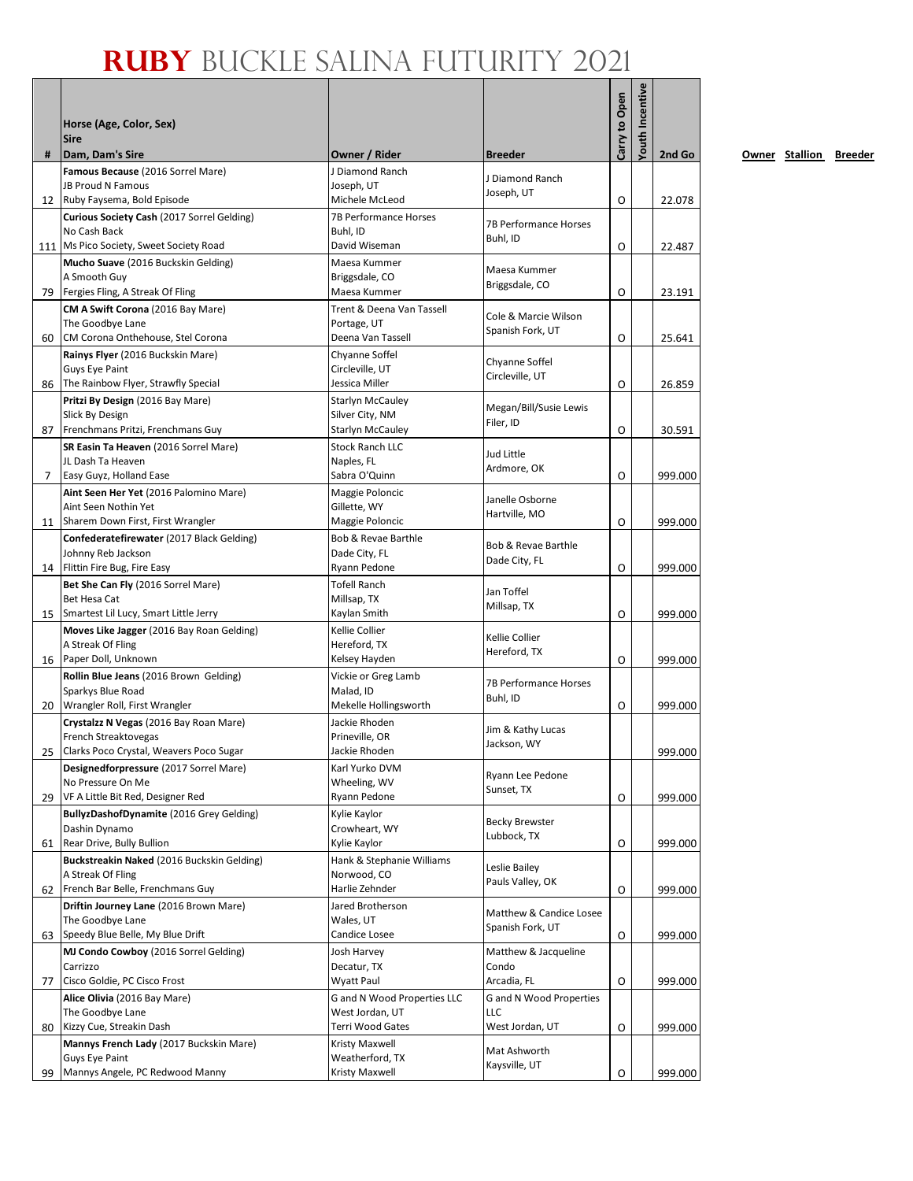### **Ruby** Buckle Salina Futurity 2021

|    | Horse (Age, Color, Sex)<br><b>Sire</b>                                                     |                                                |                                          | Carry to Open | outh Incentive |         |
|----|--------------------------------------------------------------------------------------------|------------------------------------------------|------------------------------------------|---------------|----------------|---------|
| #  | Dam, Dam's Sire                                                                            | Owner / Rider                                  | <b>Breeder</b>                           |               |                | 2nd Go  |
|    | Famous Because (2016 Sorrel Mare)<br>JB Proud N Famous                                     | J Diamond Ranch<br>Joseph, UT                  | J Diamond Ranch<br>Joseph, UT            |               |                |         |
|    | 12 Ruby Faysema, Bold Episode                                                              | Michele McLeod                                 |                                          | O             |                | 22.078  |
|    | Curious Society Cash (2017 Sorrel Gelding)<br>No Cash Back                                 | 7B Performance Horses<br>Buhl, ID              | 7B Performance Horses<br>Buhl, ID        | O             |                |         |
|    | 111   Ms Pico Society, Sweet Society Road                                                  | David Wiseman                                  |                                          |               |                | 22.487  |
|    | Mucho Suave (2016 Buckskin Gelding)<br>A Smooth Guy<br>79 Fergies Fling, A Streak Of Fling | Maesa Kummer<br>Briggsdale, CO<br>Maesa Kummer | Maesa Kummer<br>Briggsdale, CO           | O             |                | 23.191  |
|    | CM A Swift Corona (2016 Bay Mare)                                                          | Trent & Deena Van Tassell                      |                                          |               |                |         |
|    | The Goodbye Lane                                                                           | Portage, UT                                    | Cole & Marcie Wilson<br>Spanish Fork, UT |               |                |         |
| 60 | CM Corona Onthehouse, Stel Corona                                                          | Deena Van Tassell                              |                                          | O             |                | 25.641  |
|    | Rainys Flyer (2016 Buckskin Mare)                                                          | Chyanne Soffel                                 | Chyanne Soffel                           |               |                |         |
|    | Guys Eye Paint<br>86 The Rainbow Flyer, Strawfly Special                                   | Circleville, UT<br>Jessica Miller              | Circleville, UT                          | O             |                | 26.859  |
|    | Pritzi By Design (2016 Bay Mare)                                                           | Starlyn McCauley                               |                                          |               |                |         |
|    | Slick By Design                                                                            | Silver City, NM                                | Megan/Bill/Susie Lewis                   |               |                |         |
| 87 | Frenchmans Pritzi, Frenchmans Guy                                                          | <b>Starlyn McCauley</b>                        | Filer, ID                                | O             |                | 30.591  |
|    | SR Easin Ta Heaven (2016 Sorrel Mare)                                                      | <b>Stock Ranch LLC</b>                         | Jud Little<br>Ardmore, OK                |               |                |         |
|    | JL Dash Ta Heaven                                                                          | Naples, FL                                     |                                          |               |                |         |
| 7  | Easy Guyz, Holland Ease                                                                    | Sabra O'Quinn                                  |                                          | O             |                | 999.000 |
|    | Aint Seen Her Yet (2016 Palomino Mare)<br>Aint Seen Nothin Yet                             | Maggie Poloncic<br>Gillette, WY                | Janelle Osborne                          |               |                |         |
|    | 11 Sharem Down First, First Wrangler                                                       | Maggie Poloncic                                | Hartville, MO                            | O             |                | 999.000 |
|    | Confederatefirewater (2017 Black Gelding)                                                  | Bob & Revae Barthle                            |                                          |               |                |         |
|    | Johnny Reb Jackson                                                                         | Dade City, FL                                  | Bob & Revae Barthle<br>Dade City, FL     |               |                |         |
|    | 14 Flittin Fire Bug, Fire Easy                                                             | Ryann Pedone                                   |                                          | O             |                | 999.000 |
|    | Bet She Can Fly (2016 Sorrel Mare)<br>Bet Hesa Cat                                         | <b>Tofell Ranch</b><br>Millsap, TX             | Jan Toffel                               |               |                |         |
|    | 15 Smartest Lil Lucy, Smart Little Jerry                                                   | Kaylan Smith                                   | Millsap, TX                              | O             |                | 999.000 |
|    | Moves Like Jagger (2016 Bay Roan Gelding)                                                  | Kellie Collier                                 |                                          |               |                |         |
|    | A Streak Of Fling                                                                          | Hereford, TX                                   | Kellie Collier<br>Hereford, TX           |               |                |         |
|    | 16 Paper Doll, Unknown                                                                     | Kelsey Hayden                                  |                                          | O             |                | 999.000 |
|    | Rollin Blue Jeans (2016 Brown Gelding)                                                     | Vickie or Greg Lamb                            | <b>7B Performance Horses</b>             |               |                |         |
|    | Sparkys Blue Road<br>20   Wrangler Roll, First Wrangler                                    | Malad, ID<br>Mekelle Hollingsworth             | Buhl, ID                                 | O             |                | 999,000 |
|    | Crystalzz N Vegas (2016 Bay Roan Mare)                                                     | Jackie Rhoden                                  |                                          |               |                |         |
|    | French Streaktovegas                                                                       | Prineville, OR                                 | Jim & Kathy Lucas                        |               |                |         |
|    | 25 Clarks Poco Crystal, Weavers Poco Sugar                                                 | Jackie Rhoden                                  | Jackson, WY                              |               |                | 999.000 |
|    | Designedforpressure (2017 Sorrel Mare)                                                     | Karl Yurko DVM                                 | Ryann Lee Pedone                         |               |                |         |
|    | No Pressure On Me<br>29   VF A Little Bit Red, Designer Red                                | Wheeling, WV<br>Ryann Pedone                   | Sunset, TX                               | O             |                | 999.000 |
|    | BullyzDashofDynamite (2016 Grey Gelding)                                                   | Kylie Kaylor                                   |                                          |               |                |         |
|    | Dashin Dynamo                                                                              | Crowheart, WY                                  | <b>Becky Brewster</b>                    |               |                |         |
| 61 | Rear Drive, Bully Bullion                                                                  | Kylie Kaylor                                   | Lubbock, TX                              | O             |                | 999.000 |
|    | Buckstreakin Naked (2016 Buckskin Gelding)                                                 | Hank & Stephanie Williams                      | Leslie Bailey                            |               |                |         |
|    | A Streak Of Fling                                                                          | Norwood, CO                                    | Pauls Valley, OK                         |               |                |         |
|    | 62 French Bar Belle, Frenchmans Guy                                                        | Harlie Zehnder                                 |                                          | O             |                | 999.000 |
|    | Driftin Journey Lane (2016 Brown Mare)<br>The Goodbye Lane                                 | Jared Brotherson<br>Wales, UT                  | Matthew & Candice Losee                  |               |                |         |
|    | 63 Speedy Blue Belle, My Blue Drift                                                        | Candice Losee                                  | Spanish Fork, UT                         | 0             |                | 999.000 |
|    | MJ Condo Cowboy (2016 Sorrel Gelding)                                                      | Josh Harvey                                    | Matthew & Jacqueline                     |               |                |         |
|    | Carrizzo                                                                                   | Decatur, TX                                    | Condo                                    |               |                |         |
| 77 | Cisco Goldie, PC Cisco Frost                                                               | Wyatt Paul                                     | Arcadia, FL                              | O             |                | 999.000 |
|    | Alice Olivia (2016 Bay Mare)<br>The Goodbye Lane                                           | G and N Wood Properties LLC<br>West Jordan, UT | <b>G</b> and N Wood Properties<br>LLC    |               |                |         |
| 80 | Kizzy Cue, Streakin Dash                                                                   | Terri Wood Gates                               | West Jordan, UT                          | O             |                | 999.000 |
|    | Mannys French Lady (2017 Buckskin Mare)                                                    | Kristy Maxwell                                 |                                          |               |                |         |
|    | Guys Eye Paint                                                                             | Weatherford, TX                                | Mat Ashworth<br>Kaysville, UT            |               |                |         |
| 99 | Mannys Angele, PC Redwood Manny                                                            | Kristy Maxwell                                 |                                          | O             |                | 999.000 |

**2008** Owner Stallion Breeder